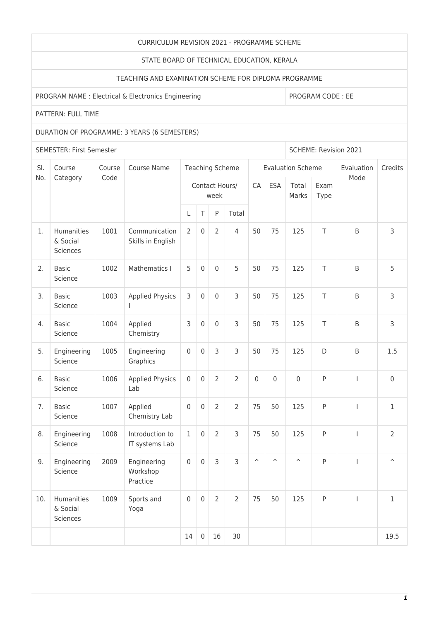#### CURRICULUM REVISION 2021 - PROGRAMME SCHEME

#### STATE BOARD OF TECHNICAL EDUCATION, KERALA

## TEACHING AND EXAMINATION SCHEME FOR DIPLOMA PROGRAMME

## PROGRAM NAME : Electrical & Electronics Engineering PROGRAM CODE : EE

# PATTERN: FULL TIME

### DURATION OF PROGRAMME: 3 YEARS (6 SEMESTERS)

SEMESTER: First Semester Superintent and SCHEME: Revision 2021

| SI. | Course<br>Category                 | Course<br>Code | Course Name                         | Teaching Scheme        |                  |                     |                |                       |                         | <b>Evaluation Scheme</b> | Evaluation   | Credits                  |                         |
|-----|------------------------------------|----------------|-------------------------------------|------------------------|------------------|---------------------|----------------|-----------------------|-------------------------|--------------------------|--------------|--------------------------|-------------------------|
| No. |                                    |                |                                     | Contact Hours/<br>week |                  |                     |                | CA                    | <b>ESA</b>              | Total<br>Marks           | Exam<br>Type | Mode                     |                         |
|     |                                    |                |                                     | L                      | $\top$           | P                   | Total          |                       |                         |                          |              |                          |                         |
| 1.  | Humanities<br>& Social<br>Sciences | 1001           | Communication<br>Skills in English  | $\overline{2}$         | $\mathbf 0$      | $\overline{2}$      | $\overline{4}$ | 50                    | 75                      | 125                      | T            | B                        | 3                       |
| 2.  | <b>Basic</b><br>Science            | 1002           | Mathematics I                       | 5                      | $\mathbf 0$      | $\mathbf 0$         | 5              | 50                    | 75                      | 125                      | T            | B                        | 5                       |
| 3.  | <b>Basic</b><br>Science            | 1003           | <b>Applied Physics</b>              | 3                      | $\boldsymbol{0}$ | $\mathsf{O}\xspace$ | 3              | 50                    | 75                      | 125                      | Τ            | B                        | 3                       |
| 4.  | <b>Basic</b><br>Science            | 1004           | Applied<br>Chemistry                | 3                      | $\mathbf 0$      | $\mathsf{O}\xspace$ | 3              | 50                    | 75                      | 125                      | T            | $\sf B$                  | 3                       |
| 5.  | Engineering<br>Science             | 1005           | Engineering<br>Graphics             | $\mathbf 0$            | $\mathbf 0$      | 3                   | 3              | 50                    | 75                      | 125                      | D            | $\sf B$                  | 1.5                     |
| 6.  | <b>Basic</b><br>Science            | 1006           | <b>Applied Physics</b><br>Lab       | $\mathbf 0$            | $\mathbf 0$      | $\overline{2}$      | $\overline{2}$ | $\mathbf 0$           | $\mathbf 0$             | $\mathbf 0$              | ${\sf P}$    | $\overline{1}$           | $\mathsf{O}\xspace$     |
| 7.  | <b>Basic</b><br>Science            | 1007           | Applied<br>Chemistry Lab            | $\mathbf 0$            | 0                | $\overline{2}$      | $\overline{2}$ | 75                    | 50                      | 125                      | $\sf P$      | $\overline{1}$           | $\mathbf{1}$            |
| 8.  | Engineering<br>Science             | 1008           | Introduction to<br>IT systems Lab   | $1\,$                  | $\mathbf 0$      | $\overline{2}$      | 3              | 75                    | 50                      | 125                      | ${\sf P}$    | $\mathbf{I}$             | $\overline{2}$          |
| 9.  | Engineering<br>Science             | 2009           | Engineering<br>Workshop<br>Practice | $\mathbf 0$            | $\mathsf 0$      | 3                   | 3              | $\boldsymbol{\wedge}$ | $\widehat{\phantom{a}}$ | $\widehat{\phantom{a}}$  | ${\sf P}$    | T                        | $\widehat{\phantom{a}}$ |
| 10. | Humanities<br>& Social<br>Sciences | 1009           | Sports and<br>Yoga                  | $\mathbf 0$            | $\mathbf 0$      | $\overline{2}$      | $\overline{2}$ | 75                    | 50                      | 125                      | ${\sf P}$    | $\overline{\phantom{a}}$ | $1\,$                   |
|     |                                    |                |                                     | 14                     | $\mathbf 0$      | 16                  | 30             |                       |                         |                          |              |                          | 19.5                    |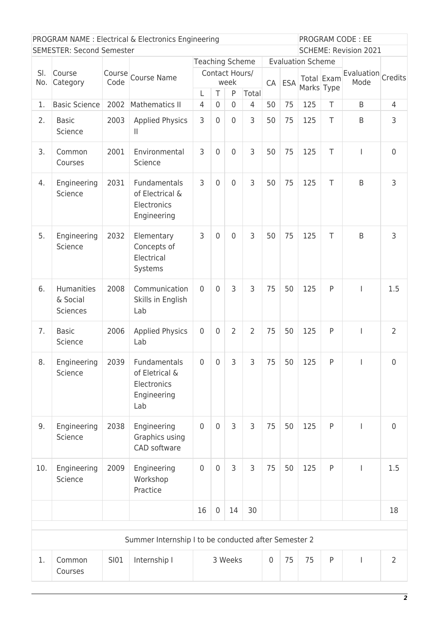| PROGRAM NAME : Electrical & Electronics Engineering |                                           |      |                                                                          |                                   |                     | PROGRAM CODE: EE             |                |                  |            |                          |            |                            |                |
|-----------------------------------------------------|-------------------------------------------|------|--------------------------------------------------------------------------|-----------------------------------|---------------------|------------------------------|----------------|------------------|------------|--------------------------|------------|----------------------------|----------------|
| <b>SEMESTER: Second Semester</b>                    |                                           |      |                                                                          |                                   |                     | <b>SCHEME: Revision 2021</b> |                |                  |            |                          |            |                            |                |
| SI.                                                 | Course                                    | Code | Course Course Name                                                       | Teaching Scheme<br>Contact Hours/ |                     |                              |                |                  |            | <b>Evaluation Scheme</b> |            |                            |                |
| No.                                                 | Category                                  |      |                                                                          | week                              |                     |                              |                | CA               | <b>ESA</b> |                          | Total Exam | Evaluation Credits<br>Mode |                |
|                                                     |                                           |      |                                                                          | L                                 | T                   | P                            | Total          |                  |            |                          | Marks Type |                            |                |
| 1.                                                  | <b>Basic Science</b>                      | 2002 | Mathematics II                                                           | $\overline{4}$                    | $\Omega$            | $\overline{0}$               | $\overline{4}$ | 50               | 75         | 125                      | T          | $\sf B$                    | $\overline{4}$ |
| 2.                                                  | <b>Basic</b><br>Science                   | 2003 | <b>Applied Physics</b><br>Ш                                              | 3                                 | $\mathbf 0$         | $\overline{0}$               | 3              | 50               | 75         | 125                      | T          | B                          | 3              |
| 3.                                                  | Common<br>Courses                         | 2001 | Environmental<br>Science                                                 | 3                                 | $\overline{0}$      | $\overline{0}$               | 3              | 50               | 75         | 125                      | T          | $\overline{\phantom{a}}$   | $\mathbf 0$    |
| 4.                                                  | Engineering<br>Science                    | 2031 | Fundamentals<br>of Electrical &<br>Electronics<br>Engineering            | 3                                 | $\mathbf 0$         | $\overline{0}$               | 3              | 50               | 75         | 125                      | T          | B                          | 3              |
| 5.                                                  | Engineering<br>Science                    | 2032 | Elementary<br>Concepts of<br>Electrical<br>Systems                       | 3                                 | $\mathbf 0$         | $\overline{0}$               | 3              | 50               | 75         | 125                      | T          | B                          | 3              |
| 6.                                                  | Humanities<br>& Social<br><b>Sciences</b> | 2008 | Communication<br>Skills in English<br>Lab                                | $\mathbf{0}$                      | $\overline{0}$      | 3                            | 3              | 75               | 50         | 125                      | P          | I                          | 1.5            |
| 7.                                                  | <b>Basic</b><br>Science                   | 2006 | <b>Applied Physics</b><br>Lab                                            | $\mathbf 0$                       | $\mathbf 0$         | $\overline{2}$               | $\overline{2}$ | 75               | 50         | 125                      | P          | I                          | $\overline{2}$ |
| 8.                                                  | Engineering<br>Science                    |      | 2039 Fundamentals<br>of Eletrical &<br>Electronics<br>Engineering<br>Lab | $\overline{0}$                    | $\overline{0}$      | 3                            | 3              | 75               | 50         | 125                      | P          | $\mathbf{L}$               | $\overline{0}$ |
| 9.                                                  | Engineering<br>Science                    | 2038 | Engineering<br>Graphics using<br>CAD software                            | $\overline{0}$                    | $\mathbf 0$         | $\overline{3}$               | 3              | 75               | 50         | 125                      | P          | $\mathbf{I}$               | $\overline{0}$ |
| 10.                                                 | Engineering<br>Science                    | 2009 | Engineering<br>Workshop<br>Practice                                      | $\boldsymbol{0}$                  | $\mathsf{O}\xspace$ | 3                            | 3              | 75               | 50         | 125                      | P          | $\mathsf{I}$               | 1.5            |
|                                                     |                                           |      |                                                                          | 16                                | $\pmb{0}$           | 14                           | 30             |                  |            |                          |            |                            | 18             |
|                                                     |                                           |      | Summer Internship I to be conducted after Semester 2                     |                                   |                     |                              |                |                  |            |                          |            |                            |                |
| 1.                                                  | Common<br>Courses                         | SI01 | Internship I                                                             | 3 Weeks                           |                     |                              |                | $\boldsymbol{0}$ | 75         | 75                       | P          | $\mathbf{I}$               | $\overline{2}$ |